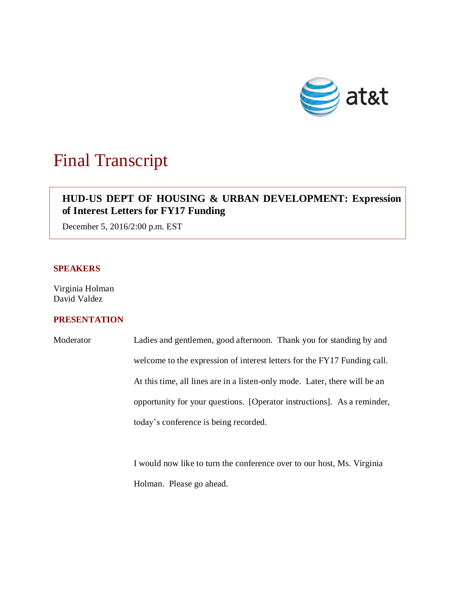

# Final Transcript

# **HUD-US DEPT OF HOUSING & URBAN DEVELOPMENT: Expression of Interest Letters for FY17 Funding**

December 5, 2016/2:00 p.m. EST

### **SPEAKERS**

Virginia Holman David Valdez

## **PRESENTATION**

| Moderator | Ladies and gentlemen, good afternoon. Thank you for standing by and        |
|-----------|----------------------------------------------------------------------------|
|           | welcome to the expression of interest letters for the FY17 Funding call.   |
|           | At this time, all lines are in a listen-only mode. Later, there will be an |
|           | opportunity for your questions. [Operator instructions]. As a reminder,    |
|           | today's conference is being recorded.                                      |

I would now like to turn the conference over to our host, Ms. Virginia Holman. Please go ahead.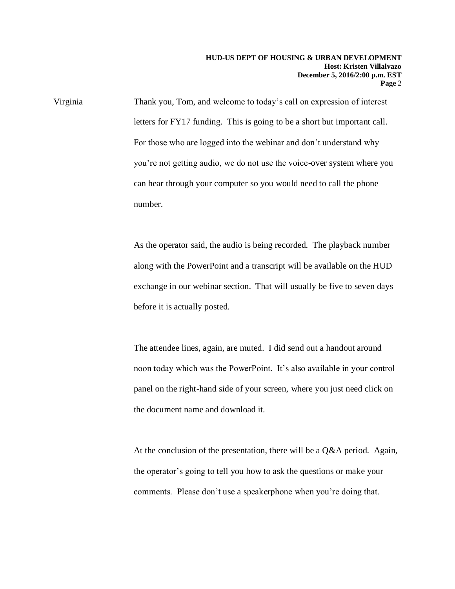Virginia Thank you, Tom, and welcome to today's call on expression of interest letters for FY17 funding. This is going to be a short but important call. For those who are logged into the webinar and don't understand why you're not getting audio, we do not use the voice-over system where you can hear through your computer so you would need to call the phone number.

> As the operator said, the audio is being recorded. The playback number along with the PowerPoint and a transcript will be available on the HUD exchange in our webinar section. That will usually be five to seven days before it is actually posted.

> The attendee lines, again, are muted. I did send out a handout around noon today which was the PowerPoint. It's also available in your control panel on the right-hand side of your screen, where you just need click on the document name and download it.

At the conclusion of the presentation, there will be a Q&A period. Again, the operator's going to tell you how to ask the questions or make your comments. Please don't use a speakerphone when you're doing that.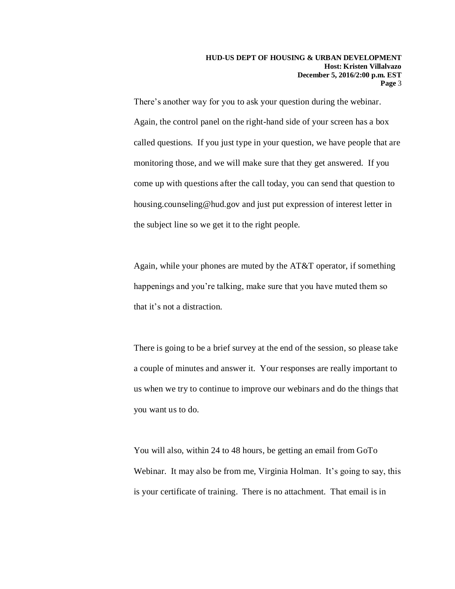There's another way for you to ask your question during the webinar. Again, the control panel on the right-hand side of your screen has a box called questions. If you just type in your question, we have people that are monitoring those, and we will make sure that they get answered. If you come up with questions after the call today, you can send that question to housing.counseling@hud.gov and just put expression of interest letter in the subject line so we get it to the right people.

Again, while your phones are muted by the AT&T operator, if something happenings and you're talking, make sure that you have muted them so that it's not a distraction.

There is going to be a brief survey at the end of the session, so please take a couple of minutes and answer it. Your responses are really important to us when we try to continue to improve our webinars and do the things that you want us to do.

You will also, within 24 to 48 hours, be getting an email from GoTo Webinar. It may also be from me, Virginia Holman. It's going to say, this is your certificate of training. There is no attachment. That email is in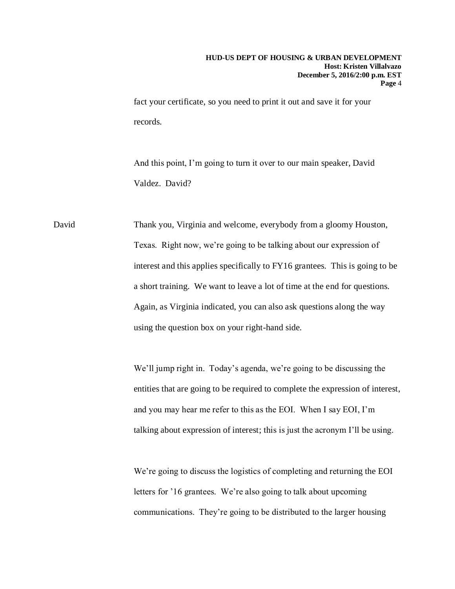fact your certificate, so you need to print it out and save it for your records.

And this point, I'm going to turn it over to our main speaker, David Valdez. David?

David Thank you, Virginia and welcome, everybody from a gloomy Houston, Texas. Right now, we're going to be talking about our expression of interest and this applies specifically to FY16 grantees. This is going to be a short training. We want to leave a lot of time at the end for questions. Again, as Virginia indicated, you can also ask questions along the way using the question box on your right-hand side.

> We'll jump right in. Today's agenda, we're going to be discussing the entities that are going to be required to complete the expression of interest, and you may hear me refer to this as the EOI. When I say EOI, I'm talking about expression of interest; this is just the acronym I'll be using.

We're going to discuss the logistics of completing and returning the EOI letters for '16 grantees. We're also going to talk about upcoming communications. They're going to be distributed to the larger housing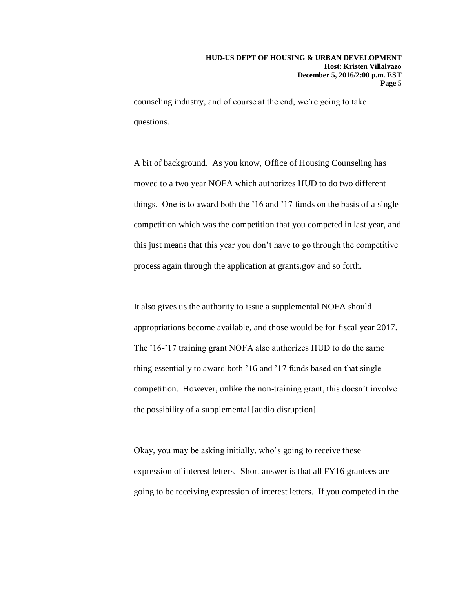counseling industry, and of course at the end, we're going to take questions.

A bit of background. As you know, Office of Housing Counseling has moved to a two year NOFA which authorizes HUD to do two different things. One is to award both the '16 and '17 funds on the basis of a single competition which was the competition that you competed in last year, and this just means that this year you don't have to go through the competitive process again through the application at grants.gov and so forth.

It also gives us the authority to issue a supplemental NOFA should appropriations become available, and those would be for fiscal year 2017. The '16-'17 training grant NOFA also authorizes HUD to do the same thing essentially to award both '16 and '17 funds based on that single competition. However, unlike the non-training grant, this doesn't involve the possibility of a supplemental [audio disruption].

Okay, you may be asking initially, who's going to receive these expression of interest letters. Short answer is that all FY16 grantees are going to be receiving expression of interest letters. If you competed in the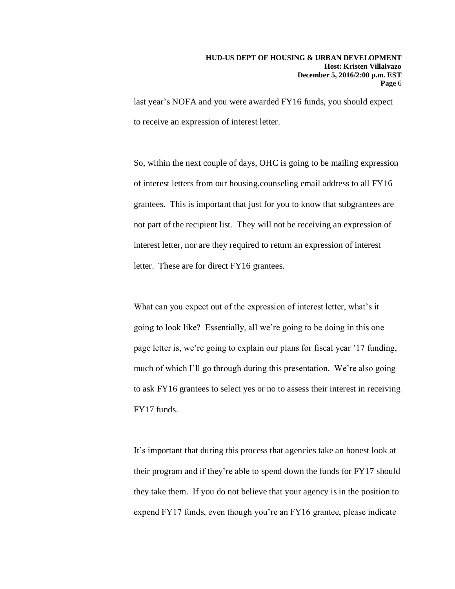last year's NOFA and you were awarded FY16 funds, you should expect to receive an expression of interest letter.

So, within the next couple of days, OHC is going to be mailing expression of interest letters from our housing.counseling email address to all FY16 grantees. This is important that just for you to know that subgrantees are not part of the recipient list. They will not be receiving an expression of interest letter, nor are they required to return an expression of interest letter. These are for direct FY16 grantees.

What can you expect out of the expression of interest letter, what's it going to look like? Essentially, all we're going to be doing in this one page letter is, we're going to explain our plans for fiscal year '17 funding, much of which I'll go through during this presentation. We're also going to ask FY16 grantees to select yes or no to assess their interest in receiving FY17 funds.

It's important that during this process that agencies take an honest look at their program and if they're able to spend down the funds for FY17 should they take them. If you do not believe that your agency is in the position to expend FY17 funds, even though you're an FY16 grantee, please indicate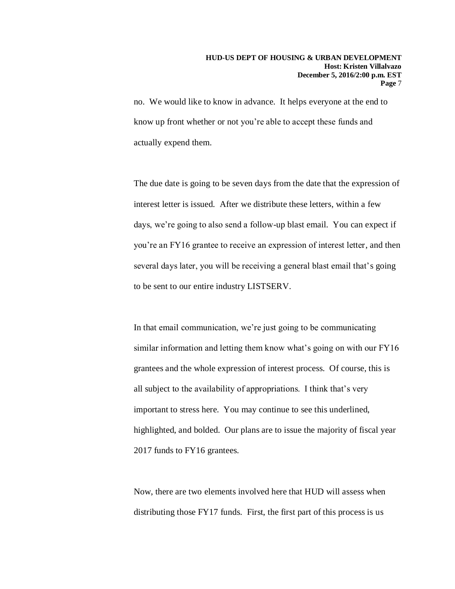no. We would like to know in advance. It helps everyone at the end to know up front whether or not you're able to accept these funds and actually expend them.

The due date is going to be seven days from the date that the expression of interest letter is issued. After we distribute these letters, within a few days, we're going to also send a follow-up blast email. You can expect if you're an FY16 grantee to receive an expression of interest letter, and then several days later, you will be receiving a general blast email that's going to be sent to our entire industry LISTSERV.

In that email communication, we're just going to be communicating similar information and letting them know what's going on with our FY16 grantees and the whole expression of interest process. Of course, this is all subject to the availability of appropriations. I think that's very important to stress here. You may continue to see this underlined, highlighted, and bolded. Our plans are to issue the majority of fiscal year 2017 funds to FY16 grantees.

Now, there are two elements involved here that HUD will assess when distributing those FY17 funds. First, the first part of this process is us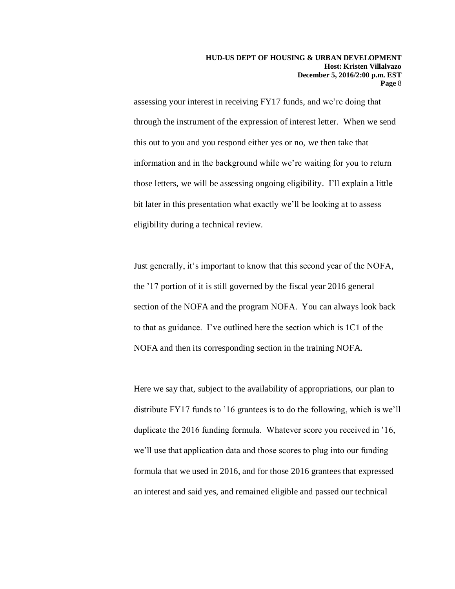assessing your interest in receiving FY17 funds, and we're doing that through the instrument of the expression of interest letter. When we send this out to you and you respond either yes or no, we then take that information and in the background while we're waiting for you to return those letters, we will be assessing ongoing eligibility. I'll explain a little bit later in this presentation what exactly we'll be looking at to assess eligibility during a technical review.

Just generally, it's important to know that this second year of the NOFA, the '17 portion of it is still governed by the fiscal year 2016 general section of the NOFA and the program NOFA. You can always look back to that as guidance. I've outlined here the section which is 1C1 of the NOFA and then its corresponding section in the training NOFA.

Here we say that, subject to the availability of appropriations, our plan to distribute FY17 funds to '16 grantees is to do the following, which is we'll duplicate the 2016 funding formula. Whatever score you received in '16, we'll use that application data and those scores to plug into our funding formula that we used in 2016, and for those 2016 grantees that expressed an interest and said yes, and remained eligible and passed our technical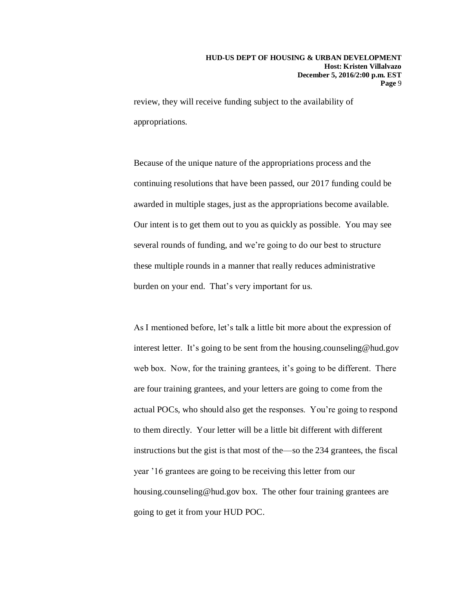review, they will receive funding subject to the availability of appropriations.

Because of the unique nature of the appropriations process and the continuing resolutions that have been passed, our 2017 funding could be awarded in multiple stages, just as the appropriations become available. Our intent is to get them out to you as quickly as possible. You may see several rounds of funding, and we're going to do our best to structure these multiple rounds in a manner that really reduces administrative burden on your end. That's very important for us.

As I mentioned before, let's talk a little bit more about the expression of interest letter. It's going to be sent from the housing.counseling@hud.gov web box. Now, for the training grantees, it's going to be different. There are four training grantees, and your letters are going to come from the actual POCs, who should also get the responses. You're going to respond to them directly. Your letter will be a little bit different with different instructions but the gist is that most of the—so the 234 grantees, the fiscal year '16 grantees are going to be receiving this letter from our housing.counseling@hud.gov box. The other four training grantees are going to get it from your HUD POC.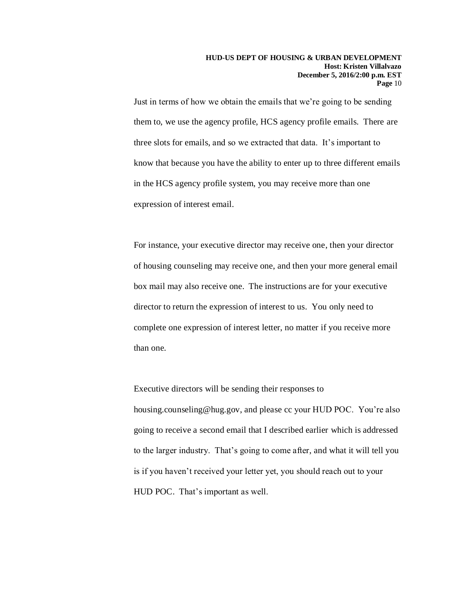Just in terms of how we obtain the emails that we're going to be sending them to, we use the agency profile, HCS agency profile emails. There are three slots for emails, and so we extracted that data. It's important to know that because you have the ability to enter up to three different emails in the HCS agency profile system, you may receive more than one expression of interest email.

For instance, your executive director may receive one, then your director of housing counseling may receive one, and then your more general email box mail may also receive one. The instructions are for your executive director to return the expression of interest to us. You only need to complete one expression of interest letter, no matter if you receive more than one.

Executive directors will be sending their responses to housing.counseling@hug.gov, and please cc your HUD POC. You're also going to receive a second email that I described earlier which is addressed to the larger industry. That's going to come after, and what it will tell you is if you haven't received your letter yet, you should reach out to your HUD POC. That's important as well.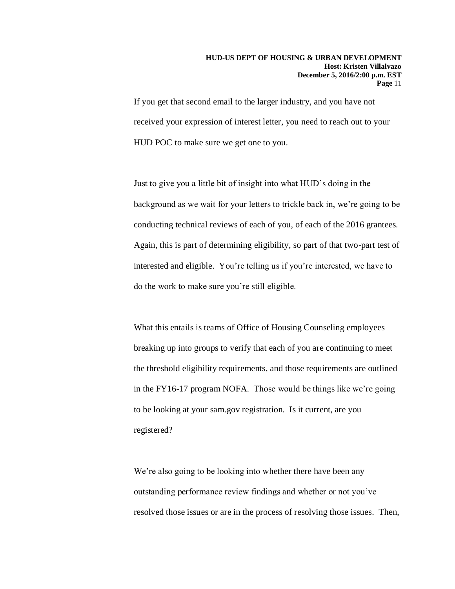If you get that second email to the larger industry, and you have not received your expression of interest letter, you need to reach out to your HUD POC to make sure we get one to you.

Just to give you a little bit of insight into what HUD's doing in the background as we wait for your letters to trickle back in, we're going to be conducting technical reviews of each of you, of each of the 2016 grantees. Again, this is part of determining eligibility, so part of that two-part test of interested and eligible. You're telling us if you're interested, we have to do the work to make sure you're still eligible.

What this entails is teams of Office of Housing Counseling employees breaking up into groups to verify that each of you are continuing to meet the threshold eligibility requirements, and those requirements are outlined in the FY16-17 program NOFA. Those would be things like we're going to be looking at your sam.gov registration. Is it current, are you registered?

We're also going to be looking into whether there have been any outstanding performance review findings and whether or not you've resolved those issues or are in the process of resolving those issues. Then,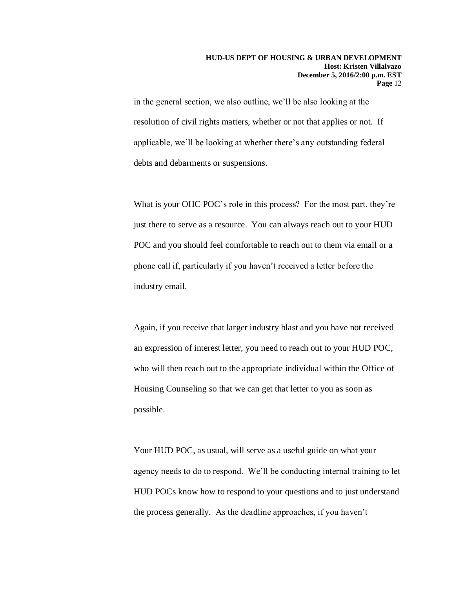in the general section, we also outline, we'll be also looking at the resolution of civil rights matters, whether or not that applies or not. If applicable, we'll be looking at whether there's any outstanding federal debts and debarments or suspensions.

What is your OHC POC's role in this process? For the most part, they're just there to serve as a resource. You can always reach out to your HUD POC and you should feel comfortable to reach out to them via email or a phone call if, particularly if you haven't received a letter before the industry email.

Again, if you receive that larger industry blast and you have not received an expression of interest letter, you need to reach out to your HUD POC, who will then reach out to the appropriate individual within the Office of Housing Counseling so that we can get that letter to you as soon as possible.

Your HUD POC, as usual, will serve as a useful guide on what your agency needs to do to respond. We'll be conducting internal training to let HUD POCs know how to respond to your questions and to just understand the process generally. As the deadline approaches, if you haven't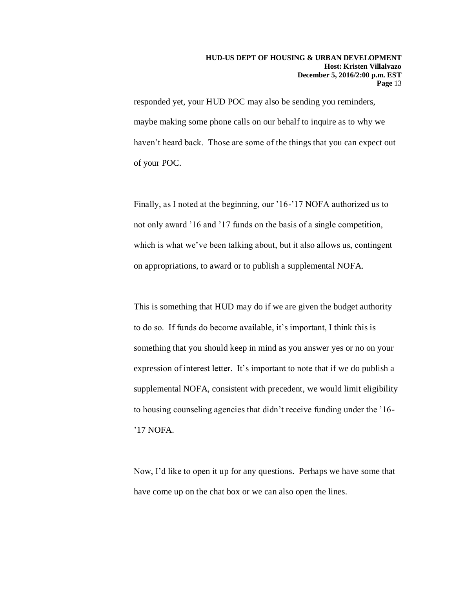responded yet, your HUD POC may also be sending you reminders, maybe making some phone calls on our behalf to inquire as to why we haven't heard back. Those are some of the things that you can expect out of your POC.

Finally, as I noted at the beginning, our '16-'17 NOFA authorized us to not only award '16 and '17 funds on the basis of a single competition, which is what we've been talking about, but it also allows us, contingent on appropriations, to award or to publish a supplemental NOFA.

This is something that HUD may do if we are given the budget authority to do so. If funds do become available, it's important, I think this is something that you should keep in mind as you answer yes or no on your expression of interest letter. It's important to note that if we do publish a supplemental NOFA, consistent with precedent, we would limit eligibility to housing counseling agencies that didn't receive funding under the '16- '17 NOFA.

Now, I'd like to open it up for any questions. Perhaps we have some that have come up on the chat box or we can also open the lines.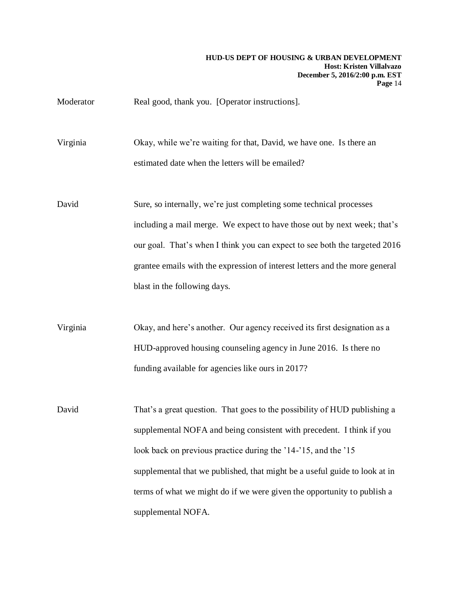Moderator Real good, thank you. [Operator instructions].

Virginia Okay, while we're waiting for that, David, we have one. Is there an estimated date when the letters will be emailed?

David Sure, so internally, we're just completing some technical processes including a mail merge. We expect to have those out by next week; that's our goal. That's when I think you can expect to see both the targeted 2016 grantee emails with the expression of interest letters and the more general blast in the following days.

Virginia Okay, and here's another. Our agency received its first designation as a HUD-approved housing counseling agency in June 2016. Is there no funding available for agencies like ours in 2017?

David That's a great question. That goes to the possibility of HUD publishing a supplemental NOFA and being consistent with precedent. I think if you look back on previous practice during the '14-'15, and the '15 supplemental that we published, that might be a useful guide to look at in terms of what we might do if we were given the opportunity to publish a supplemental NOFA.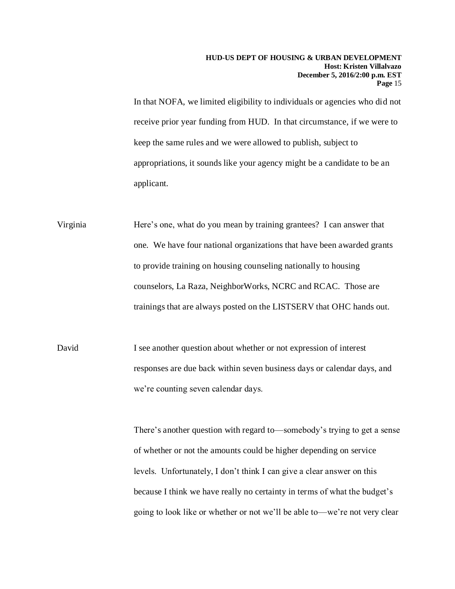In that NOFA, we limited eligibility to individuals or agencies who did not receive prior year funding from HUD. In that circumstance, if we were to keep the same rules and we were allowed to publish, subject to appropriations, it sounds like your agency might be a candidate to be an applicant.

Virginia Here's one, what do you mean by training grantees? I can answer that one. We have four national organizations that have been awarded grants to provide training on housing counseling nationally to housing counselors, La Raza, NeighborWorks, NCRC and RCAC. Those are trainings that are always posted on the LISTSERV that OHC hands out.

David I see another question about whether or not expression of interest responses are due back within seven business days or calendar days, and we're counting seven calendar days.

> There's another question with regard to—somebody's trying to get a sense of whether or not the amounts could be higher depending on service levels. Unfortunately, I don't think I can give a clear answer on this because I think we have really no certainty in terms of what the budget's going to look like or whether or not we'll be able to—we're not very clear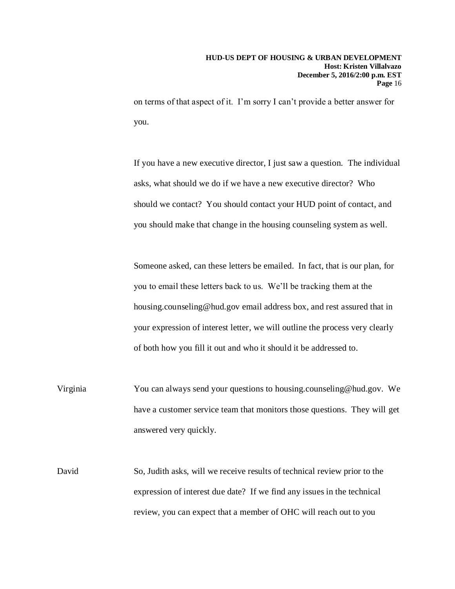on terms of that aspect of it. I'm sorry I can't provide a better answer for you.

If you have a new executive director, I just saw a question. The individual asks, what should we do if we have a new executive director? Who should we contact? You should contact your HUD point of contact, and you should make that change in the housing counseling system as well.

Someone asked, can these letters be emailed. In fact, that is our plan, for you to email these letters back to us. We'll be tracking them at the housing.counseling@hud.gov email address box, and rest assured that in your expression of interest letter, we will outline the process very clearly of both how you fill it out and who it should it be addressed to.

- Virginia You can always send your questions to housing.counseling@hud.gov. We have a customer service team that monitors those questions. They will get answered very quickly.
- David So, Judith asks, will we receive results of technical review prior to the expression of interest due date? If we find any issues in the technical review, you can expect that a member of OHC will reach out to you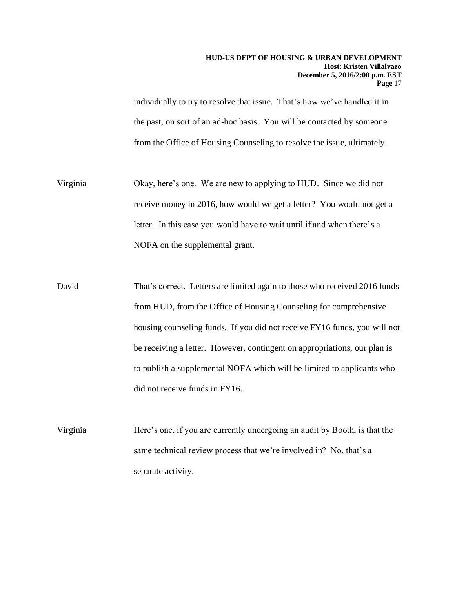individually to try to resolve that issue. That's how we've handled it in the past, on sort of an ad-hoc basis. You will be contacted by someone from the Office of Housing Counseling to resolve the issue, ultimately.

- Virginia Okay, here's one. We are new to applying to HUD. Since we did not receive money in 2016, how would we get a letter? You would not get a letter. In this case you would have to wait until if and when there's a NOFA on the supplemental grant.
- David That's correct. Letters are limited again to those who received 2016 funds from HUD, from the Office of Housing Counseling for comprehensive housing counseling funds. If you did not receive FY16 funds, you will not be receiving a letter. However, contingent on appropriations, our plan is to publish a supplemental NOFA which will be limited to applicants who did not receive funds in FY16.
- Virginia Here's one, if you are currently undergoing an audit by Booth, is that the same technical review process that we're involved in? No, that's a separate activity.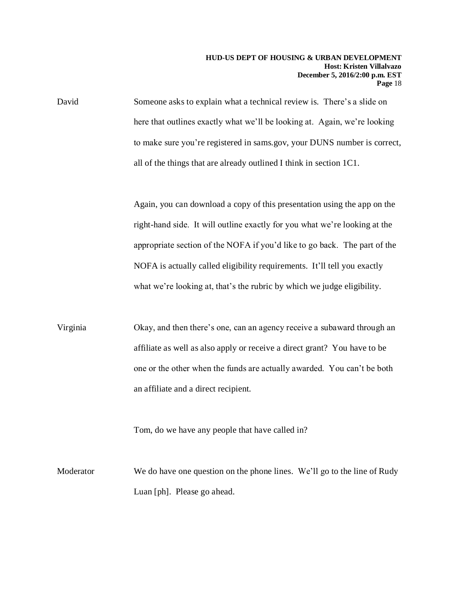David Someone asks to explain what a technical review is. There's a slide on here that outlines exactly what we'll be looking at. Again, we're looking to make sure you're registered in sams.gov, your DUNS number is correct, all of the things that are already outlined I think in section 1C1.

> Again, you can download a copy of this presentation using the app on the right-hand side. It will outline exactly for you what we're looking at the appropriate section of the NOFA if you'd like to go back. The part of the NOFA is actually called eligibility requirements. It'll tell you exactly what we're looking at, that's the rubric by which we judge eligibility.

Virginia Okay, and then there's one, can an agency receive a subaward through an affiliate as well as also apply or receive a direct grant? You have to be one or the other when the funds are actually awarded. You can't be both an affiliate and a direct recipient.

Tom, do we have any people that have called in?

Moderator We do have one question on the phone lines. We'll go to the line of Rudy Luan [ph]. Please go ahead.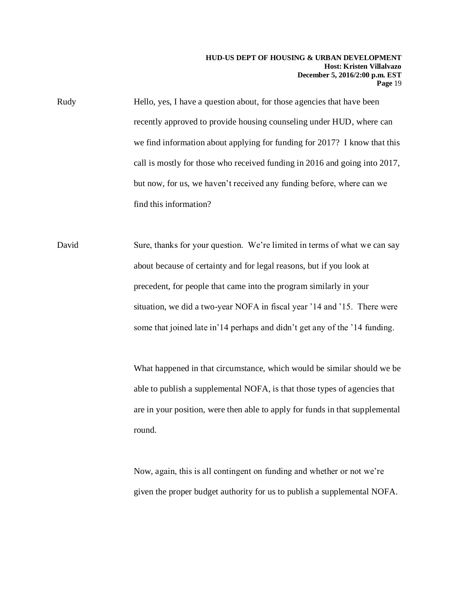Rudy Hello, yes, I have a question about, for those agencies that have been recently approved to provide housing counseling under HUD, where can we find information about applying for funding for 2017? I know that this call is mostly for those who received funding in 2016 and going into 2017, but now, for us, we haven't received any funding before, where can we find this information?

David Sure, thanks for your question. We're limited in terms of what we can say about because of certainty and for legal reasons, but if you look at precedent, for people that came into the program similarly in your situation, we did a two-year NOFA in fiscal year '14 and '15. There were some that joined late in'14 perhaps and didn't get any of the '14 funding.

> What happened in that circumstance, which would be similar should we be able to publish a supplemental NOFA, is that those types of agencies that are in your position, were then able to apply for funds in that supplemental round.

Now, again, this is all contingent on funding and whether or not we're given the proper budget authority for us to publish a supplemental NOFA.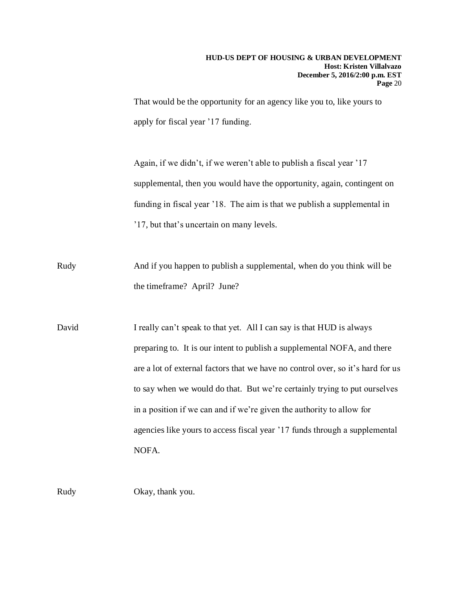That would be the opportunity for an agency like you to, like yours to apply for fiscal year '17 funding.

Again, if we didn't, if we weren't able to publish a fiscal year '17 supplemental, then you would have the opportunity, again, contingent on funding in fiscal year '18. The aim is that we publish a supplemental in '17, but that's uncertain on many levels.

Rudy And if you happen to publish a supplemental, when do you think will be the timeframe? April? June?

David I really can't speak to that yet. All I can say is that HUD is always preparing to. It is our intent to publish a supplemental NOFA, and there are a lot of external factors that we have no control over, so it's hard for us to say when we would do that. But we're certainly trying to put ourselves in a position if we can and if we're given the authority to allow for agencies like yours to access fiscal year '17 funds through a supplemental NOFA.

Rudy Okay, thank you.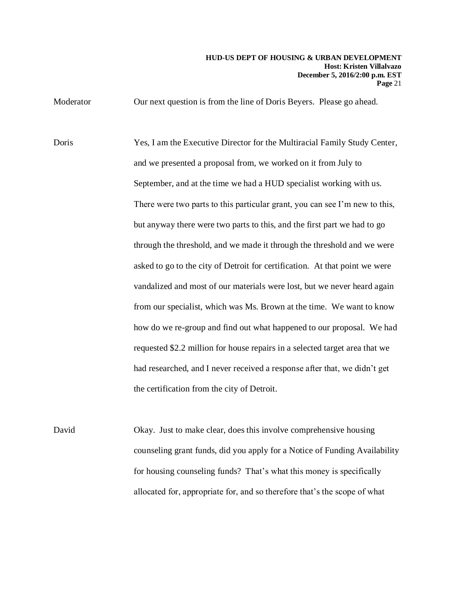Moderator **Our next question is from the line of Doris Beyers. Please go ahead.** 

Doris Yes, I am the Executive Director for the Multiracial Family Study Center, and we presented a proposal from, we worked on it from July to September, and at the time we had a HUD specialist working with us. There were two parts to this particular grant, you can see I'm new to this, but anyway there were two parts to this, and the first part we had to go through the threshold, and we made it through the threshold and we were asked to go to the city of Detroit for certification. At that point we were vandalized and most of our materials were lost, but we never heard again from our specialist, which was Ms. Brown at the time. We want to know how do we re-group and find out what happened to our proposal. We had requested \$2.2 million for house repairs in a selected target area that we had researched, and I never received a response after that, we didn't get the certification from the city of Detroit.

David Okay. Just to make clear, does this involve comprehensive housing counseling grant funds, did you apply for a Notice of Funding Availability for housing counseling funds? That's what this money is specifically allocated for, appropriate for, and so therefore that's the scope of what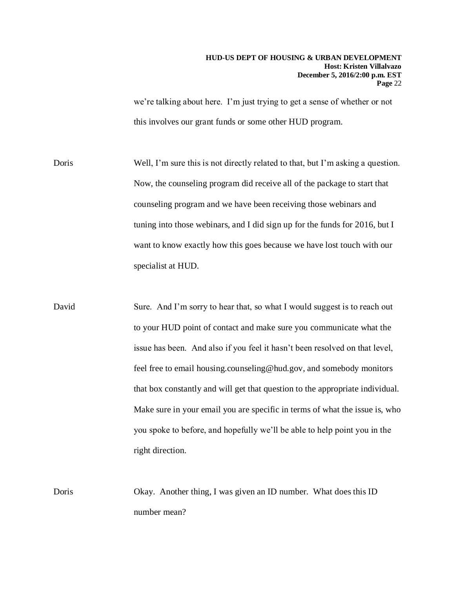we're talking about here. I'm just trying to get a sense of whether or not this involves our grant funds or some other HUD program.

Doris Well, I'm sure this is not directly related to that, but I'm asking a question. Now, the counseling program did receive all of the package to start that counseling program and we have been receiving those webinars and tuning into those webinars, and I did sign up for the funds for 2016, but I want to know exactly how this goes because we have lost touch with our specialist at HUD.

David Sure. And I'm sorry to hear that, so what I would suggest is to reach out to your HUD point of contact and make sure you communicate what the issue has been. And also if you feel it hasn't been resolved on that level, feel free to email housing.counseling@hud.gov, and somebody monitors that box constantly and will get that question to the appropriate individual. Make sure in your email you are specific in terms of what the issue is, who you spoke to before, and hopefully we'll be able to help point you in the right direction.

Doris Okay. Another thing, I was given an ID number. What does this ID number mean?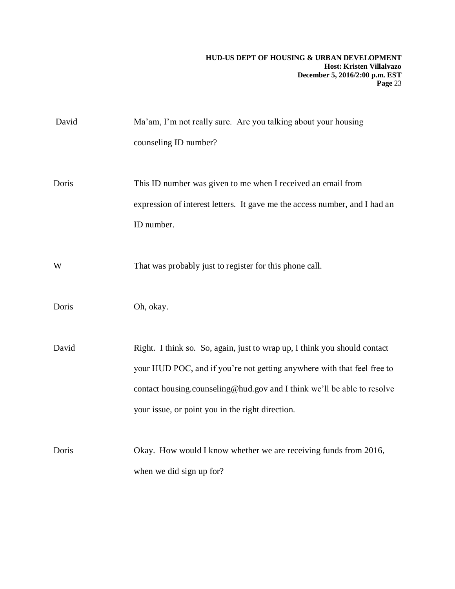| David | Ma'am, I'm not really sure. Are you talking about your housing<br>counseling ID number?                                                                                                                                                                                             |
|-------|-------------------------------------------------------------------------------------------------------------------------------------------------------------------------------------------------------------------------------------------------------------------------------------|
| Doris | This ID number was given to me when I received an email from<br>expression of interest letters. It gave me the access number, and I had an<br>ID number.                                                                                                                            |
| W     | That was probably just to register for this phone call.                                                                                                                                                                                                                             |
| Doris | Oh, okay.                                                                                                                                                                                                                                                                           |
| David | Right. I think so. So, again, just to wrap up, I think you should contact<br>your HUD POC, and if you're not getting anywhere with that feel free to<br>contact housing.counseling@hud.gov and I think we'll be able to resolve<br>your issue, or point you in the right direction. |
| Doris | Okay. How would I know whether we are receiving funds from 2016,<br>when we did sign up for?                                                                                                                                                                                        |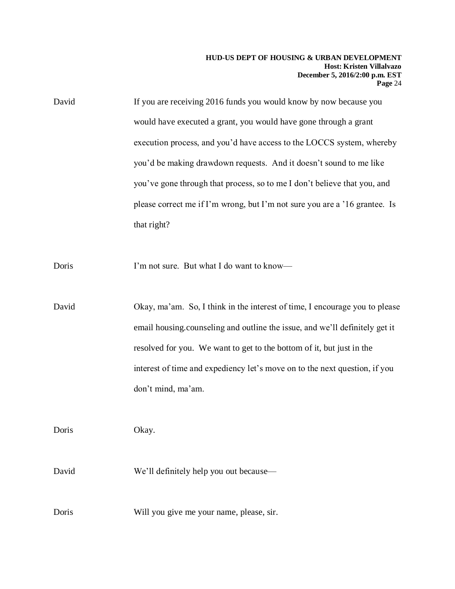| David | If you are receiving 2016 funds you would know by now because you          |
|-------|----------------------------------------------------------------------------|
|       | would have executed a grant, you would have gone through a grant           |
|       | execution process, and you'd have access to the LOCCS system, whereby      |
|       | you'd be making drawdown requests. And it doesn't sound to me like         |
|       | you've gone through that process, so to me I don't believe that you, and   |
|       | please correct me if I'm wrong, but I'm not sure you are a '16 grantee. Is |
|       | that right?                                                                |

Doris I'm not sure. But what I do want to know—

David Okay, ma'am. So, I think in the interest of time, I encourage you to please email housing.counseling and outline the issue, and we'll definitely get it resolved for you. We want to get to the bottom of it, but just in the interest of time and expediency let's move on to the next question, if you don't mind, ma'am.

Doris Okay.

David We'll definitely help you out because—

Doris Will you give me your name, please, sir.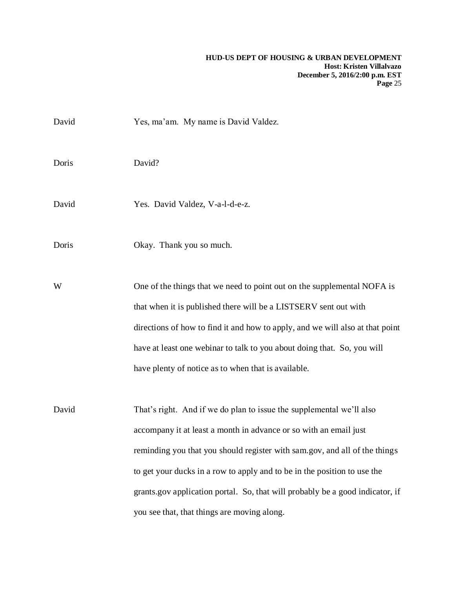| David | Yes, ma'am. My name is David Valdez.                                                                                                        |
|-------|---------------------------------------------------------------------------------------------------------------------------------------------|
| Doris | David?                                                                                                                                      |
| David | Yes. David Valdez, V-a-l-d-e-z.                                                                                                             |
| Doris | Okay. Thank you so much.                                                                                                                    |
| W     | One of the things that we need to point out on the supplemental NOFA is<br>that when it is published there will be a LISTSERV sent out with |
|       | directions of how to find it and how to apply, and we will also at that point                                                               |
|       | have at least one webinar to talk to you about doing that. So, you will                                                                     |
|       | have plenty of notice as to when that is available.                                                                                         |
| David | That's right. And if we do plan to issue the supplemental we'll also                                                                        |
|       | accompany it at least a month in advance or so with an email just                                                                           |
|       | reminding you that you should register with sam.gov, and all of the things                                                                  |
|       | to get your ducks in a row to apply and to be in the position to use the                                                                    |
|       | grants.gov application portal. So, that will probably be a good indicator, if                                                               |
|       | you see that, that things are moving along.                                                                                                 |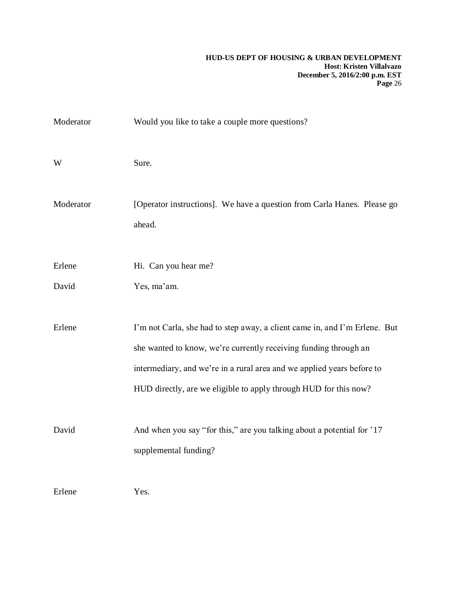| Moderator | Would you like to take a couple more questions?                                                                                                                                                                                                                                              |
|-----------|----------------------------------------------------------------------------------------------------------------------------------------------------------------------------------------------------------------------------------------------------------------------------------------------|
| W         | Sure.                                                                                                                                                                                                                                                                                        |
| Moderator | [Operator instructions]. We have a question from Carla Hanes. Please go<br>ahead.                                                                                                                                                                                                            |
| Erlene    | Hi. Can you hear me?                                                                                                                                                                                                                                                                         |
| David     | Yes, ma'am.                                                                                                                                                                                                                                                                                  |
| Erlene    | I'm not Carla, she had to step away, a client came in, and I'm Erlene. But<br>she wanted to know, we're currently receiving funding through an<br>intermediary, and we're in a rural area and we applied years before to<br>HUD directly, are we eligible to apply through HUD for this now? |
| David     | And when you say "for this," are you talking about a potential for '17<br>supplemental funding?                                                                                                                                                                                              |
| Erlene    | Yes.                                                                                                                                                                                                                                                                                         |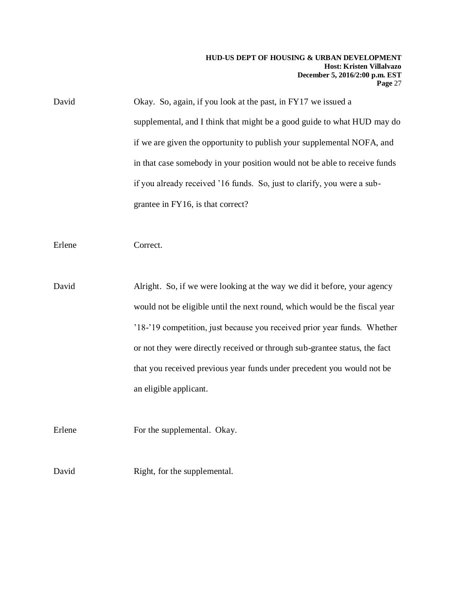David Okay. So, again, if you look at the past, in FY17 we issued a supplemental, and I think that might be a good guide to what HUD may do if we are given the opportunity to publish your supplemental NOFA, and in that case somebody in your position would not be able to receive funds if you already received '16 funds. So, just to clarify, you were a subgrantee in FY16, is that correct?

Erlene Correct.

David Alright. So, if we were looking at the way we did it before, your agency would not be eligible until the next round, which would be the fiscal year '18-'19 competition, just because you received prior year funds. Whether or not they were directly received or through sub-grantee status, the fact that you received previous year funds under precedent you would not be an eligible applicant.

Erlene For the supplemental. Okay.

David Right, for the supplemental.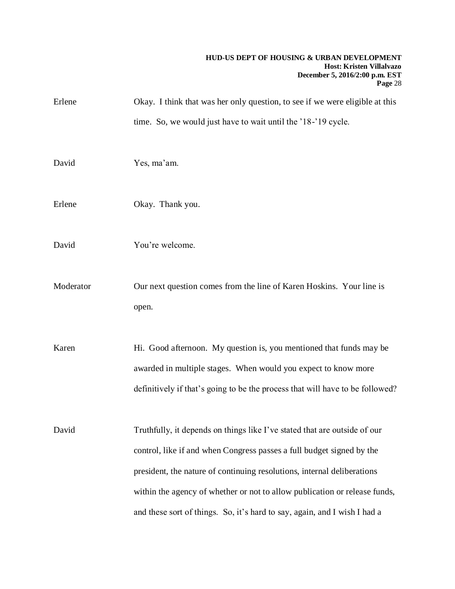| Erlene    | Okay. I think that was her only question, to see if we were eligible at this                                                                                                                                                                                                                                                                                                             |
|-----------|------------------------------------------------------------------------------------------------------------------------------------------------------------------------------------------------------------------------------------------------------------------------------------------------------------------------------------------------------------------------------------------|
|           | time. So, we would just have to wait until the '18-'19 cycle.                                                                                                                                                                                                                                                                                                                            |
| David     | Yes, ma'am.                                                                                                                                                                                                                                                                                                                                                                              |
| Erlene    | Okay. Thank you.                                                                                                                                                                                                                                                                                                                                                                         |
| David     | You're welcome.                                                                                                                                                                                                                                                                                                                                                                          |
| Moderator | Our next question comes from the line of Karen Hoskins. Your line is<br>open.                                                                                                                                                                                                                                                                                                            |
| Karen     | Hi. Good afternoon. My question is, you mentioned that funds may be<br>awarded in multiple stages. When would you expect to know more<br>definitively if that's going to be the process that will have to be followed?                                                                                                                                                                   |
| David     | Truthfully, it depends on things like I've stated that are outside of our<br>control, like if and when Congress passes a full budget signed by the<br>president, the nature of continuing resolutions, internal deliberations<br>within the agency of whether or not to allow publication or release funds,<br>and these sort of things. So, it's hard to say, again, and I wish I had a |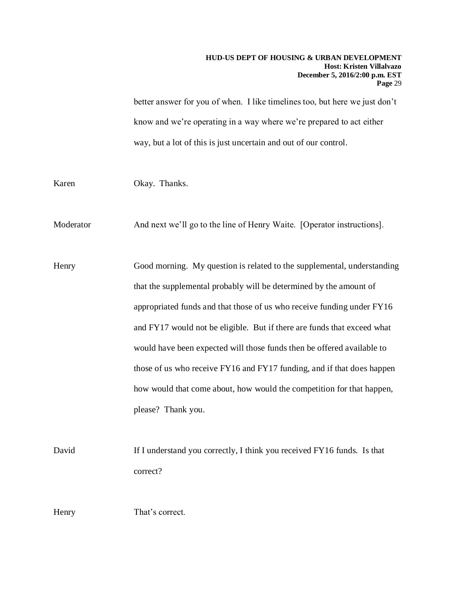better answer for you of when. I like timelines too, but here we just don't know and we're operating in a way where we're prepared to act either way, but a lot of this is just uncertain and out of our control.

Karen Okay. Thanks.

Moderator And next we'll go to the line of Henry Waite. [Operator instructions].

Henry Good morning. My question is related to the supplemental, understanding that the supplemental probably will be determined by the amount of appropriated funds and that those of us who receive funding under FY16 and FY17 would not be eligible. But if there are funds that exceed what would have been expected will those funds then be offered available to those of us who receive FY16 and FY17 funding, and if that does happen how would that come about, how would the competition for that happen, please? Thank you.

David If I understand you correctly, I think you received FY16 funds. Is that correct?

Henry That's correct.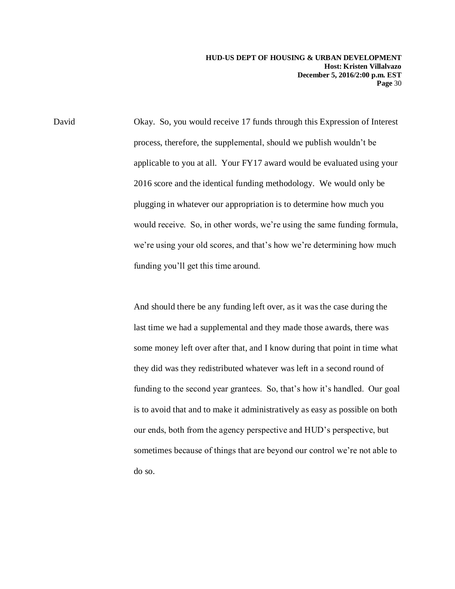David Okay. So, you would receive 17 funds through this Expression of Interest process, therefore, the supplemental, should we publish wouldn't be applicable to you at all. Your FY17 award would be evaluated using your 2016 score and the identical funding methodology. We would only be plugging in whatever our appropriation is to determine how much you would receive. So, in other words, we're using the same funding formula, we're using your old scores, and that's how we're determining how much funding you'll get this time around.

> And should there be any funding left over, as it was the case during the last time we had a supplemental and they made those awards, there was some money left over after that, and I know during that point in time what they did was they redistributed whatever was left in a second round of funding to the second year grantees. So, that's how it's handled. Our goal is to avoid that and to make it administratively as easy as possible on both our ends, both from the agency perspective and HUD's perspective, but sometimes because of things that are beyond our control we're not able to do so.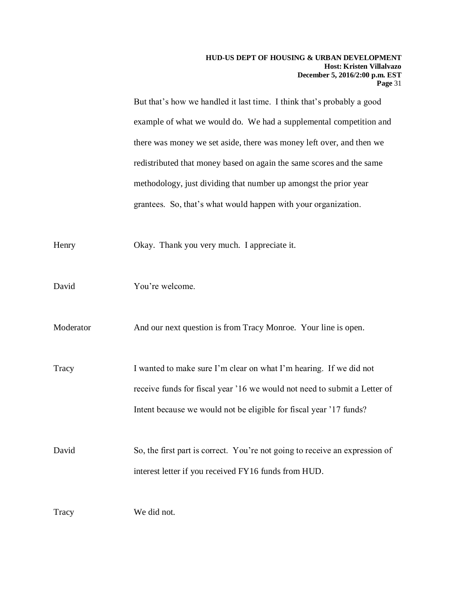But that's how we handled it last time. I think that's probably a good example of what we would do. We had a supplemental competition and there was money we set aside, there was money left over, and then we redistributed that money based on again the same scores and the same methodology, just dividing that number up amongst the prior year grantees. So, that's what would happen with your organization.

Henry Okay. Thank you very much. I appreciate it.

David You're welcome.

Moderator And our next question is from Tracy Monroe. Your line is open.

Tracy I wanted to make sure I'm clear on what I'm hearing. If we did not receive funds for fiscal year '16 we would not need to submit a Letter of Intent because we would not be eligible for fiscal year '17 funds?

David So, the first part is correct. You're not going to receive an expression of interest letter if you received FY16 funds from HUD.

Tracy We did not.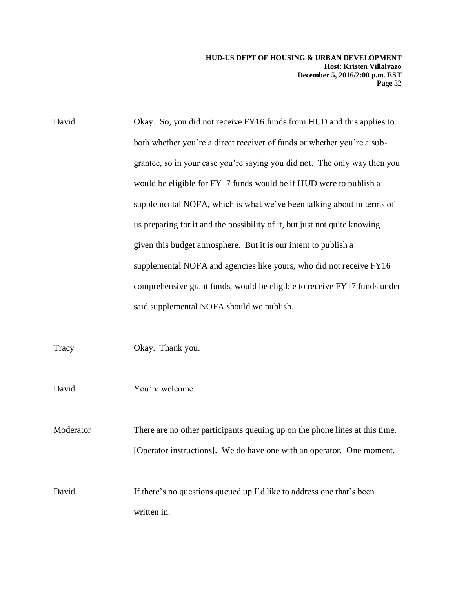David Okay. So, you did not receive FY16 funds from HUD and this applies to both whether you're a direct receiver of funds or whether you're a subgrantee, so in your case you're saying you did not. The only way then you would be eligible for FY17 funds would be if HUD were to publish a supplemental NOFA, which is what we've been talking about in terms of us preparing for it and the possibility of it, but just not quite knowing given this budget atmosphere. But it is our intent to publish a supplemental NOFA and agencies like yours, who did not receive FY16 comprehensive grant funds, would be eligible to receive FY17 funds under said supplemental NOFA should we publish.

Tracy Okay. Thank you.

David You're welcome.

Moderator There are no other participants queuing up on the phone lines at this time. [Operator instructions]. We do have one with an operator. One moment.

David If there's no questions queued up I'd like to address one that's been written in.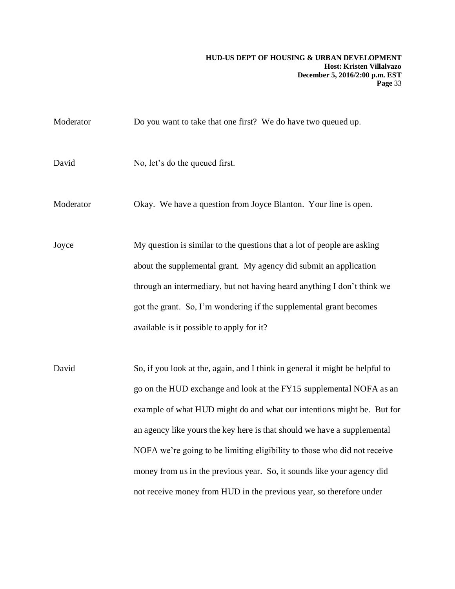Moderator **Do you want to take that one first?** We do have two queued up. David No, let's do the queued first. Moderator Okay. We have a question from Joyce Blanton. Your line is open. Joyce My question is similar to the questions that a lot of people are asking about the supplemental grant. My agency did submit an application through an intermediary, but not having heard anything I don't think we got the grant. So, I'm wondering if the supplemental grant becomes available is it possible to apply for it? David So, if you look at the, again, and I think in general it might be helpful to go on the HUD exchange and look at the FY15 supplemental NOFA as an example of what HUD might do and what our intentions might be. But for an agency like yours the key here is that should we have a supplemental NOFA we're going to be limiting eligibility to those who did not receive money from us in the previous year. So, it sounds like your agency did not receive money from HUD in the previous year, so therefore under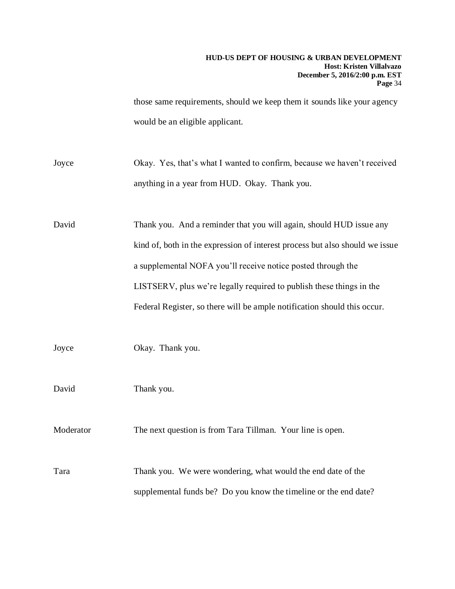those same requirements, should we keep them it sounds like your agency would be an eligible applicant.

Joyce Okay. Yes, that's what I wanted to confirm, because we haven't received anything in a year from HUD. Okay. Thank you.

David Thank you. And a reminder that you will again, should HUD issue any kind of, both in the expression of interest process but also should we issue a supplemental NOFA you'll receive notice posted through the LISTSERV, plus we're legally required to publish these things in the Federal Register, so there will be ample notification should this occur.

Joyce Okay. Thank you.

David Thank you.

Moderator The next question is from Tara Tillman. Your line is open.

Tara Thank you. We were wondering, what would the end date of the supplemental funds be? Do you know the timeline or the end date?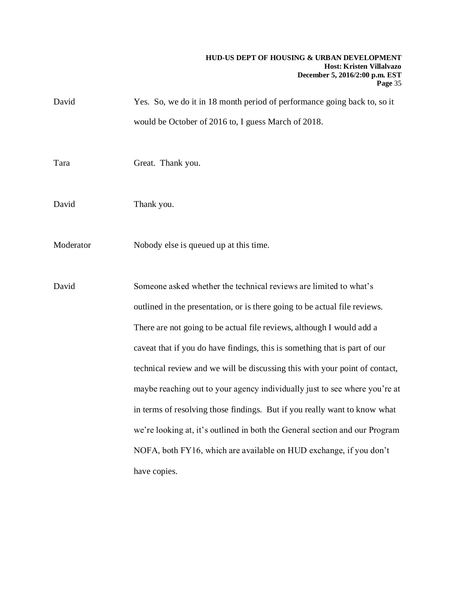| David     | Yes. So, we do it in 18 month period of performance going back to, so it                                                                        |
|-----------|-------------------------------------------------------------------------------------------------------------------------------------------------|
|           | would be October of 2016 to, I guess March of 2018.                                                                                             |
| Tara      | Great. Thank you.                                                                                                                               |
| David     | Thank you.                                                                                                                                      |
| Moderator | Nobody else is queued up at this time.                                                                                                          |
| David     | Someone asked whether the technical reviews are limited to what's<br>outlined in the presentation, or is there going to be actual file reviews. |
|           | There are not going to be actual file reviews, although I would add a                                                                           |
|           | caveat that if you do have findings, this is something that is part of our                                                                      |
|           | technical review and we will be discussing this with your point of contact,                                                                     |
|           | maybe reaching out to your agency individually just to see where you're at                                                                      |
|           | in terms of resolving those findings. But if you really want to know what                                                                       |
|           | we're looking at, it's outlined in both the General section and our Program                                                                     |
|           | NOFA, both FY16, which are available on HUD exchange, if you don't                                                                              |
|           | have copies.                                                                                                                                    |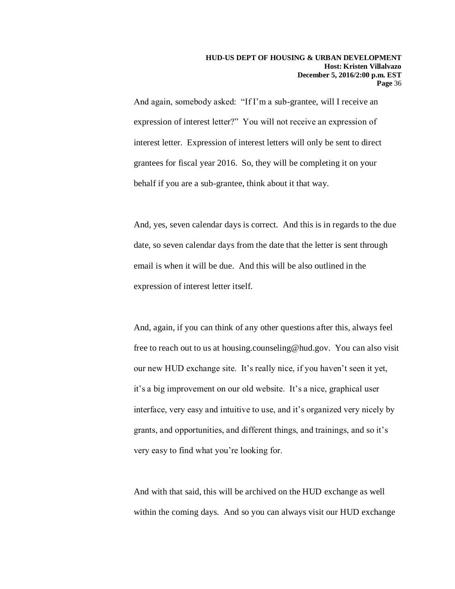And again, somebody asked: "If I'm a sub-grantee, will I receive an expression of interest letter?" You will not receive an expression of interest letter. Expression of interest letters will only be sent to direct grantees for fiscal year 2016. So, they will be completing it on your behalf if you are a sub-grantee, think about it that way.

And, yes, seven calendar days is correct. And this is in regards to the due date, so seven calendar days from the date that the letter is sent through email is when it will be due. And this will be also outlined in the expression of interest letter itself.

And, again, if you can think of any other questions after this, always feel free to reach out to us at housing.counseling@hud.gov. You can also visit our new HUD exchange site. It's really nice, if you haven't seen it yet, it's a big improvement on our old website. It's a nice, graphical user interface, very easy and intuitive to use, and it's organized very nicely by grants, and opportunities, and different things, and trainings, and so it's very easy to find what you're looking for.

And with that said, this will be archived on the HUD exchange as well within the coming days. And so you can always visit our HUD exchange